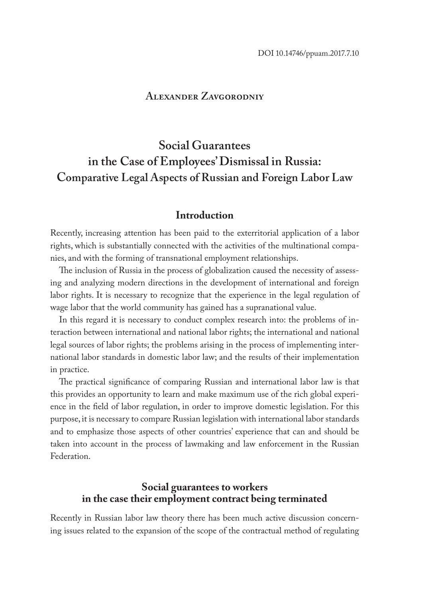### **Alexander Zavgorodniy**

# **Social Guarantees in the Case of Employees' Dismissal in Russia: Comparative Legal Aspects of Russian and Foreign Labor Law**

### **Introduction**

Recently, increasing attention has been paid to the exterritorial application of a labor rights, which is substantially connected with the activities of the multinational companies, and with the forming of transnational employment relationships.

The inclusion of Russia in the process of globalization caused the necessity of assessing and analyzing modern directions in the development of international and foreign labor rights. It is necessary to recognize that the experience in the legal regulation of wage labor that the world community has gained has a supranational value.

In this regard it is necessary to conduct complex research into: the problems of interaction between international and national labor rights; the international and national legal sources of labor rights; the problems arising in the process of implementing international labor standards in domestic labor law; and the results of their implementation in practice.

The practical significance of comparing Russian and international labor law is that this provides an opportunity to learn and make maximum use of the rich global experience in the field of labor regulation, in order to improve domestic legislation. For this purpose, it is necessary to compare Russian legislation with international labor standards and to emphasize those aspects of other countries' experience that can and should be taken into account in the process of lawmaking and law enforcement in the Russian Federation.

### **Social guarantees to workers in the case their employment contract being terminated**

Recently in Russian labor law theory there has been much active discussion concerning issues related to the expansion of the scope of the contractual method of regulating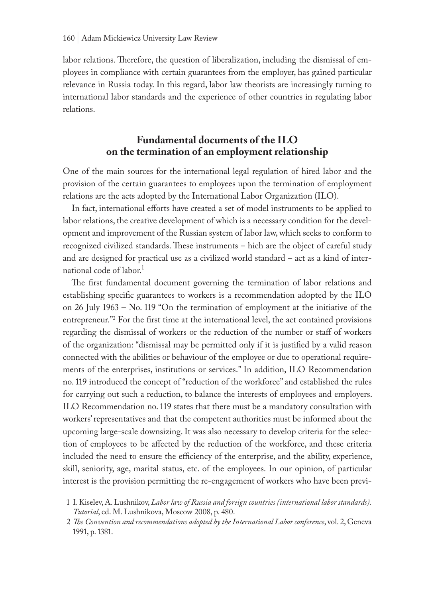labor relations. Therefore, the question of liberalization, including the dismissal of employees in compliance with certain guarantees from the employer, has gained particular relevance in Russia today. In this regard, labor law theorists are increasingly turning to international labor standards and the experience of other countries in regulating labor relations.

### **Fundamental documents of the ILO on the termination of an employment relationship**

One of the main sources for the international legal regulation of hired labor and the provision of the certain guarantees to employees upon the termination of employment relations are the acts adopted by the International Labor Organization (ILO).

In fact, international efforts have created a set of model instruments to be applied to labor relations, the creative development of which is a necessary condition for the development and improvement of the Russian system of labor law, which seeks to conform to recognized civilized standards. These instruments – hich are the object of careful study and are designed for practical use as a civilized world standard – act as a kind of international code of labor.<sup>1</sup>

The first fundamental document governing the termination of labor relations and establishing specific guarantees to workers is a recommendation adopted by the ILO on 26 July 1963 – No. 119 "On the termination of employment at the initiative of the entrepreneur."2 For the first time at the international level, the act contained provisions regarding the dismissal of workers or the reduction of the number or staff of workers of the organization: "dismissal may be permitted only if it is justified by a valid reason connected with the abilities or behaviour of the employee or due to operational requirements of the enterprises, institutions or services." In addition, ILO Recommendation no. 119 introduced the concept of "reduction of the workforce" and established the rules for carrying out such a reduction, to balance the interests of employees and employers. ILO Recommendation no. 119 states that there must be a mandatory consultation with workers' representatives and that the competent authorities must be informed about the upcoming large-scale downsizing. It was also necessary to develop criteria for the selection of employees to be affected by the reduction of the workforce, and these criteria included the need to ensure the efficiency of the enterprise, and the ability, experience, skill, seniority, age, marital status, etc. of the employees. In our opinion, of particular interest is the provision permitting the re-engagement of workers who have been previ-

<sup>1</sup> I. Kiselev, A. Lushnikov, *Labor law of Russia and foreign countries (international labor standards). Tutorial*, ed. M. Lushnikova, Moscow 2008, p. 480.

<sup>2</sup> *The Convention and recommendations adopted by the International Labor conference*, vol. 2, Geneva 1991, p. 1381.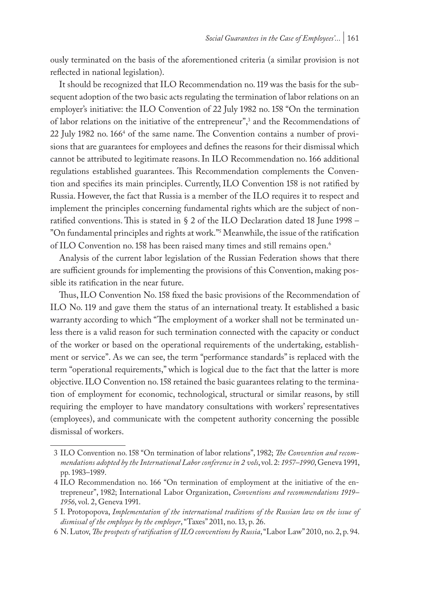ously terminated on the basis of the aforementioned criteria (a similar provision is not reflected in national legislation).

It should be recognized that ILO Recommendation no. 119 was the basis for the subsequent adoption of the two basic acts regulating the termination of labor relations on an employer's initiative: the ILO Convention of 22 July 1982 no. 158 "On the termination of labor relations on the initiative of the entrepreneur",<sup>3</sup> and the Recommendations of 22 July 1982 no. 166<sup>4</sup> of the same name. The Convention contains a number of provisions that are guarantees for employees and defines the reasons for their dismissal which cannot be attributed to legitimate reasons. In ILO Recommendation no. 166 additional regulations established guarantees. This Recommendation complements the Convention and specifies its main principles. Currently, ILO Convention 158 is not ratified by Russia. However, the fact that Russia is a member of the ILO requires it to respect and implement the principles concerning fundamental rights which are the subject of nonratified conventions. This is stated in § 2 of the ILO Declaration dated 18 June 1998 – "On fundamental principles and rights at work."5 Meanwhile, the issue of the ratification of ILO Convention no. 158 has been raised many times and still remains open.6

Analysis of the current labor legislation of the Russian Federation shows that there are sufficient grounds for implementing the provisions of this Convention, making possible its ratification in the near future.

Thus, ILO Convention No. 158 fixed the basic provisions of the Recommendation of ILO No. 119 and gave them the status of an international treaty. It established a basic warranty according to which "The employment of a worker shall not be terminated unless there is a valid reason for such termination connected with the capacity or conduct of the worker or based on the operational requirements of the undertaking, establishment or service". As we can see, the term "performance standards" is replaced with the term "operational requirements," which is logical due to the fact that the latter is more objective. ILO Convention no. 158 retained the basic guarantees relating to the termination of employment for economic, technological, structural or similar reasons, by still requiring the employer to have mandatory consultations with workers' representatives (employees), and communicate with the competent authority concerning the possible dismissal of workers.

<sup>3</sup> ILO Convention no. 158 "On termination of labor relations", 1982; *The Convention and recommendations adopted by the International Labor conference in 2 vols*, vol. 2: *1957–1990*, Geneva 1991, pp. 1983–1989.

<sup>4</sup> ILO Recommendation no. 166 "On termination of employment at the initiative of the entrepreneur", 1982; International Labor Organization, *Conventions and recommendations 1919– 1956*, vol. 2, Geneva 1991.

<sup>5</sup> I. Protopopova, *Implementation of the international traditions of the Russian law on the issue of dismissal of the employee by the employer*, "Taxes" 2011, no. 13, p. 26.

<sup>6</sup> N. Lutov, *The prospects of ratification of ILO conventions by Russia*, "Labor Law" 2010, no. 2, p. 94.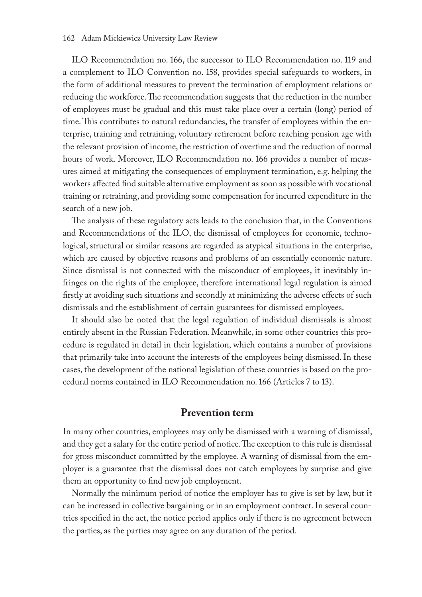ILO Recommendation no. 166, the successor to ILO Recommendation no. 119 and a complement to ILO Convention no. 158, provides special safeguards to workers, in the form of additional measures to prevent the termination of employment relations or reducing the workforce. The recommendation suggests that the reduction in the number of employees must be gradual and this must take place over a certain (long) period of time. This contributes to natural redundancies, the transfer of employees within the enterprise, training and retraining, voluntary retirement before reaching pension age with the relevant provision of income, the restriction of overtime and the reduction of normal hours of work. Moreover, ILO Recommendation no. 166 provides a number of measures aimed at mitigating the consequences of employment termination, e.g. helping the workers affected find suitable alternative employment as soon as possible with vocational training or retraining, and providing some compensation for incurred expenditure in the search of a new job.

The analysis of these regulatory acts leads to the conclusion that, in the Conventions and Recommendations of the ILO, the dismissal of employees for economic, technological, structural or similar reasons are regarded as atypical situations in the enterprise, which are caused by objective reasons and problems of an essentially economic nature. Since dismissal is not connected with the misconduct of employees, it inevitably infringes on the rights of the employee, therefore international legal regulation is aimed firstly at avoiding such situations and secondly at minimizing the adverse effects of such dismissals and the establishment of certain guarantees for dismissed employees.

It should also be noted that the legal regulation of individual dismissals is almost entirely absent in the Russian Federation. Meanwhile, in some other countries this procedure is regulated in detail in their legislation, which contains a number of provisions that primarily take into account the interests of the employees being dismissed. In these cases, the development of the national legislation of these countries is based on the procedural norms contained in ILO Recommendation no. 166 (Articles 7 to 13).

#### **Prevention term**

In many other countries, employees may only be dismissed with a warning of dismissal, and they get a salary for the entire period of notice. The exception to this rule is dismissal for gross misconduct committed by the employee. A warning of dismissal from the employer is a guarantee that the dismissal does not catch employees by surprise and give them an opportunity to find new job employment.

Normally the minimum period of notice the employer has to give is set by law, but it can be increased in collective bargaining or in an employment contract. In several countries specified in the act, the notice period applies only if there is no agreement between the parties, as the parties may agree on any duration of the period.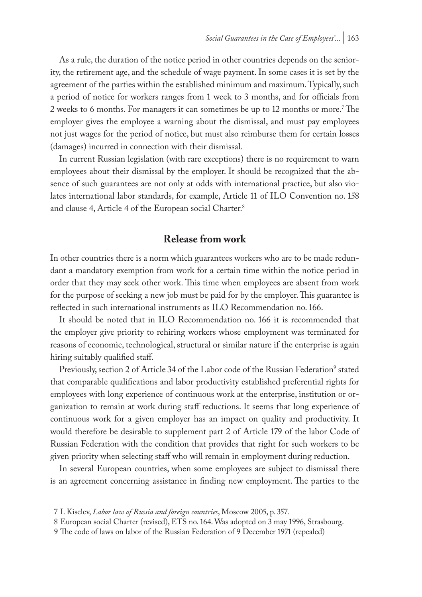As a rule, the duration of the notice period in other countries depends on the seniority, the retirement age, and the schedule of wage payment. In some cases it is set by the agreement of the parties within the established minimum and maximum. Typically, such a period of notice for workers ranges from 1 week to 3 months, and for officials from 2 weeks to 6 months. For managers it can sometimes be up to 12 months or more.<sup>7</sup> The employer gives the employee a warning about the dismissal, and must pay employees not just wages for the period of notice, but must also reimburse them for certain losses (damages) incurred in connection with their dismissal.

In current Russian legislation (with rare exceptions) there is no requirement to warn employees about their dismissal by the employer. It should be recognized that the absence of such guarantees are not only at odds with international practice, but also violates international labor standards, for example, Article 11 of ILO Convention no. 158 and clause 4, Article 4 of the European social Charter.<sup>8</sup>

### **Release from work**

In other countries there is a norm which guarantees workers who are to be made redundant a mandatory exemption from work for a certain time within the notice period in order that they may seek other work. This time when employees are absent from work for the purpose of seeking a new job must be paid for by the employer. This guarantee is reflected in such international instruments as ILO Recommendation no. 166.

It should be noted that in ILO Recommendation no. 166 it is recommended that the employer give priority to rehiring workers whose employment was terminated for reasons of economic, technological, structural or similar nature if the enterprise is again hiring suitably qualified staff.

Previously, section 2 of Article 34 of the Labor code of the Russian Federation<sup>9</sup> stated that comparable qualifications and labor productivity established preferential rights for employees with long experience of continuous work at the enterprise, institution or organization to remain at work during staff reductions. It seems that long experience of continuous work for a given employer has an impact on quality and productivity. It would therefore be desirable to supplement part 2 of Article 179 of the labor Code of Russian Federation with the condition that provides that right for such workers to be given priority when selecting staff who will remain in employment during reduction.

In several European countries, when some employees are subject to dismissal there is an agreement concerning assistance in finding new employment. The parties to the

<sup>7</sup> I. Kiselev, *Labor law of Russia and foreign countries*, Moscow 2005, p. 357.

<sup>8</sup> European social Charter (revised), ETS no. 164. Was adopted on 3 may 1996, Strasbourg.

<sup>9</sup> The code of laws on labor of the Russian Federation of 9 December 1971 (repealed)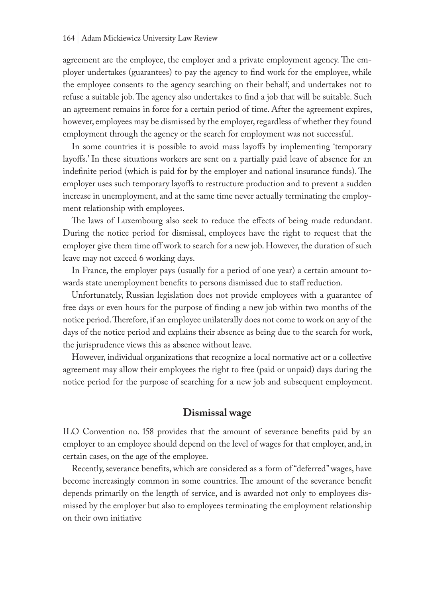agreement are the employee, the employer and a private employment agency. The employer undertakes (guarantees) to pay the agency to find work for the employee, while the employee consents to the agency searching on their behalf, and undertakes not to refuse a suitable job. The agency also undertakes to find a job that will be suitable. Such an agreement remains in force for a certain period of time. After the agreement expires, however, employees may be dismissed by the employer, regardless of whether they found employment through the agency or the search for employment was not successful.

In some countries it is possible to avoid mass layoffs by implementing 'temporary layoffs.' In these situations workers are sent on a partially paid leave of absence for an indefinite period (which is paid for by the employer and national insurance funds). The employer uses such temporary layoffs to restructure production and to prevent a sudden increase in unemployment, and at the same time never actually terminating the employment relationship with employees.

The laws of Luxembourg also seek to reduce the effects of being made redundant. During the notice period for dismissal, employees have the right to request that the employer give them time off work to search for a new job. However, the duration of such leave may not exceed 6 working days.

In France, the employer pays (usually for a period of one year) a certain amount towards state unemployment benefits to persons dismissed due to staff reduction.

Unfortunately, Russian legislation does not provide employees with a guarantee of free days or even hours for the purpose of finding a new job within two months of the notice period. Therefore, if an employee unilaterally does not come to work on any of the days of the notice period and explains their absence as being due to the search for work, the jurisprudence views this as absence without leave.

However, individual organizations that recognize a local normative act or a collective agreement may allow their employees the right to free (paid or unpaid) days during the notice period for the purpose of searching for a new job and subsequent employment.

### **Dismissal wage**

ILO Convention no. 158 provides that the amount of severance benefits paid by an employer to an employee should depend on the level of wages for that employer, and, in certain cases, on the age of the employee.

Recently, severance benefits, which are considered as a form of "deferred" wages, have become increasingly common in some countries. The amount of the severance benefit depends primarily on the length of service, and is awarded not only to employees dismissed by the employer but also to employees terminating the employment relationship on their own initiative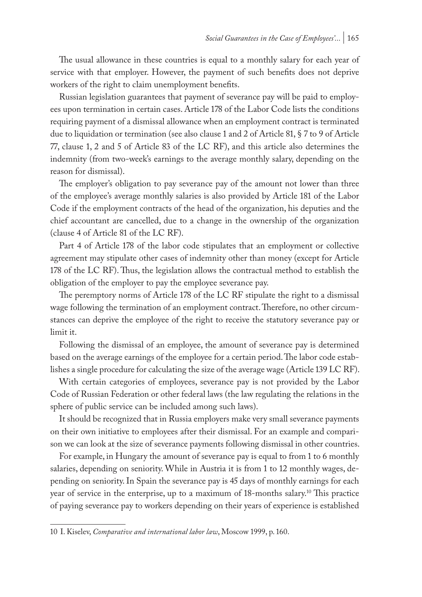The usual allowance in these countries is equal to a monthly salary for each year of service with that employer. However, the payment of such benefits does not deprive workers of the right to claim unemployment benefits.

Russian legislation guarantees that payment of severance pay will be paid to employees upon termination in certain cases. Article 178 of the Labor Code lists the conditions requiring payment of a dismissal allowance when an employment contract is terminated due to liquidation or termination (see also clause 1 and 2 of Article 81, § 7 to 9 of Article 77, clause 1, 2 and 5 of Article 83 of the LC RF), and this article also determines the indemnity (from two-week's earnings to the average monthly salary, depending on the reason for dismissal).

The employer's obligation to pay severance pay of the amount not lower than three of the employee's average monthly salaries is also provided by Article 181 of the Labor Code if the employment contracts of the head of the organization, his deputies and the chief accountant are cancelled, due to a change in the ownership of the organization (clause 4 of Article 81 of the LC RF).

Part 4 of Article 178 of the labor code stipulates that an employment or collective agreement may stipulate other cases of indemnity other than money (except for Article 178 of the LC RF). Thus, the legislation allows the contractual method to establish the obligation of the employer to pay the employee severance pay.

The peremptory norms of Article 178 of the LC RF stipulate the right to a dismissal wage following the termination of an employment contract. Therefore, no other circumstances can deprive the employee of the right to receive the statutory severance pay or limit it.

Following the dismissal of an employee, the amount of severance pay is determined based on the average earnings of the employee for a certain period. The labor code establishes a single procedure for calculating the size of the average wage (Article 139 LC RF).

With certain categories of employees, severance pay is not provided by the Labor Code of Russian Federation or other federal laws (the law regulating the relations in the sphere of public service can be included among such laws).

It should be recognized that in Russia employers make very small severance payments on their own initiative to employees after their dismissal. For an example and comparison we can look at the size of severance payments following dismissal in other countries.

For example, in Hungary the amount of severance pay is equal to from 1 to 6 monthly salaries, depending on seniority. While in Austria it is from 1 to 12 monthly wages, depending on seniority. In Spain the severance pay is 45 days of monthly earnings for each year of service in the enterprise, up to a maximum of 18-months salary.<sup>10</sup> This practice of paying severance pay to workers depending on their years of experience is established

<sup>10</sup> I. Kiselev, *Comparative and international labor law*, Moscow 1999, p. 160.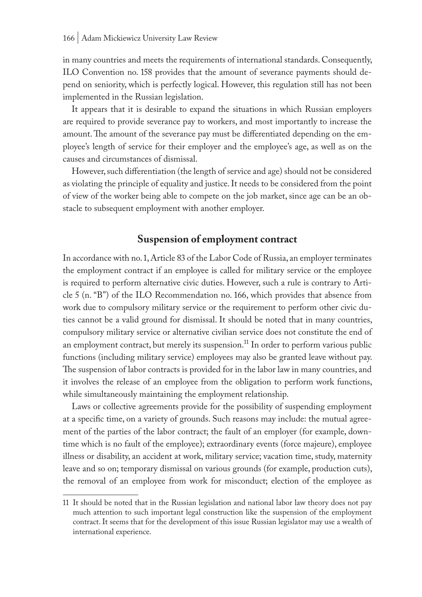in many countries and meets the requirements of international standards. Consequently, ILO Convention no. 158 provides that the amount of severance payments should depend on seniority, which is perfectly logical. However, this regulation still has not been implemented in the Russian legislation.

It appears that it is desirable to expand the situations in which Russian employers are required to provide severance pay to workers, and most importantly to increase the amount. The amount of the severance pay must be differentiated depending on the employee's length of service for their employer and the employee's age, as well as on the causes and circumstances of dismissal.

However, such differentiation (the length of service and age) should not be considered as violating the principle of equality and justice. It needs to be considered from the point of view of the worker being able to compete on the job market, since age can be an obstacle to subsequent employment with another employer.

## **Suspension of employment contract**

In accordance with no. 1, Article 83 of the Labor Code of Russia, an employer terminates the employment contract if an employee is called for military service or the employee is required to perform alternative civic duties. However, such a rule is contrary to Article 5 (n. "B") of the ILO Recommendation no. 166, which provides that absence from work due to compulsory military service or the requirement to perform other civic duties cannot be a valid ground for dismissal. It should be noted that in many countries, compulsory military service or alternative civilian service does not constitute the end of an employment contract, but merely its suspension.<sup>11</sup> In order to perform various public functions (including military service) employees may also be granted leave without pay. The suspension of labor contracts is provided for in the labor law in many countries, and it involves the release of an employee from the obligation to perform work functions, while simultaneously maintaining the employment relationship.

Laws or collective agreements provide for the possibility of suspending employment at a specific time, on a variety of grounds. Such reasons may include: the mutual agreement of the parties of the labor contract; the fault of an employer (for example, downtime which is no fault of the employee); extraordinary events (force majeure), employee illness or disability, an accident at work, military service; vacation time, study, maternity leave and so on; temporary dismissal on various grounds (for example, production cuts), the removal of an employee from work for misconduct; election of the employee as

<sup>11</sup> It should be noted that in the Russian legislation and national labor law theory does not pay much attention to such important legal construction like the suspension of the employment contract. It seems that for the development of this issue Russian legislator may use a wealth of international experience.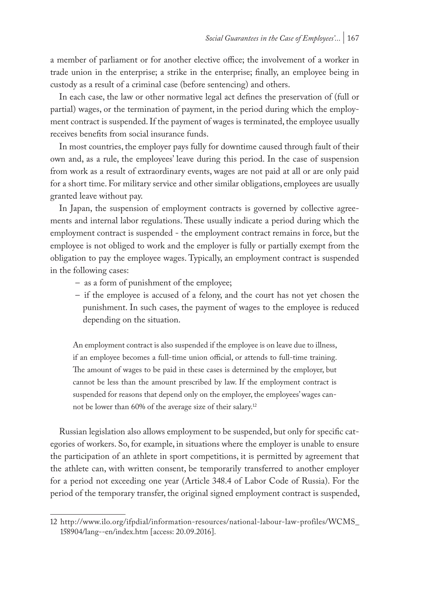a member of parliament or for another elective office; the involvement of a worker in trade union in the enterprise; a strike in the enterprise; finally, an employee being in custody as a result of a criminal case (before sentencing) and others.

In each case, the law or other normative legal act defines the preservation of (full or partial) wages, or the termination of payment, in the period during which the employment contract is suspended. If the payment of wages is terminated, the employee usually receives benefits from social insurance funds.

In most countries, the employer pays fully for downtime caused through fault of their own and, as a rule, the employees' leave during this period. In the case of suspension from work as a result of extraordinary events, wages are not paid at all or are only paid for a short time. For military service and other similar obligations, employees are usually granted leave without pay.

In Japan, the suspension of employment contracts is governed by collective agreements and internal labor regulations. These usually indicate a period during which the employment contract is suspended - the employment contract remains in force, but the employee is not obliged to work and the employer is fully or partially exempt from the obligation to pay the employee wages. Typically, an employment contract is suspended in the following cases:

- as a form of punishment of the employee;
- if the employee is accused of a felony, and the court has not yet chosen the punishment. In such cases, the payment of wages to the employee is reduced depending on the situation.

An employment contract is also suspended if the employee is on leave due to illness, if an employee becomes a full-time union official, or attends to full-time training. The amount of wages to be paid in these cases is determined by the employer, but cannot be less than the amount prescribed by law. If the employment contract is suspended for reasons that depend only on the employer, the employees' wages cannot be lower than 60% of the average size of their salary.<sup>12</sup>

Russian legislation also allows employment to be suspended, but only for specific categories of workers. So, for example, in situations where the employer is unable to ensure the participation of an athlete in sport competitions, it is permitted by agreement that the athlete can, with written consent, be temporarily transferred to another employer for a period not exceeding one year (Article 348.4 of Labor Code of Russia). For the period of the temporary transfer, the original signed employment contract is suspended,

<sup>12</sup> http://www.ilo.org/ifpdial/information-resources/national-labour-law-profiles/WCMS\_ 158904/lang--en/index.htm [access: 20.09.2016].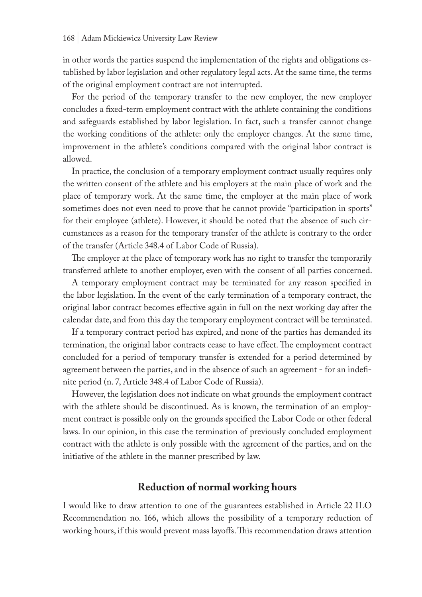in other words the parties suspend the implementation of the rights and obligations established by labor legislation and other regulatory legal acts. At the same time, the terms of the original employment contract are not interrupted.

For the period of the temporary transfer to the new employer, the new employer concludes a fixed-term employment contract with the athlete containing the conditions and safeguards established by labor legislation. In fact, such a transfer cannot change the working conditions of the athlete: only the employer changes. At the same time, improvement in the athlete's conditions compared with the original labor contract is allowed.

In practice, the conclusion of a temporary employment contract usually requires only the written consent of the athlete and his employers at the main place of work and the place of temporary work. At the same time, the employer at the main place of work sometimes does not even need to prove that he cannot provide "participation in sports" for their employee (athlete). However, it should be noted that the absence of such circumstances as a reason for the temporary transfer of the athlete is contrary to the order of the transfer (Article 348.4 of Labor Code of Russia).

The employer at the place of temporary work has no right to transfer the temporarily transferred athlete to another employer, even with the consent of all parties concerned.

A temporary employment contract may be terminated for any reason specified in the labor legislation. In the event of the early termination of a temporary contract, the original labor contract becomes effective again in full on the next working day after the calendar date, and from this day the temporary employment contract will be terminated.

If a temporary contract period has expired, and none of the parties has demanded its termination, the original labor contracts cease to have effect. The employment contract concluded for a period of temporary transfer is extended for a period determined by agreement between the parties, and in the absence of such an agreement - for an indefinite period (n. 7, Article 348.4 of Labor Code of Russia).

However, the legislation does not indicate on what grounds the employment contract with the athlete should be discontinued. As is known, the termination of an employment contract is possible only on the grounds specified the Labor Code or other federal laws. In our opinion, in this case the termination of previously concluded employment contract with the athlete is only possible with the agreement of the parties, and on the initiative of the athlete in the manner prescribed by law.

### **Reduction of normal working hours**

I would like to draw attention to one of the guarantees established in Article 22 ILO Recommendation no. 166, which allows the possibility of a temporary reduction of working hours, if this would prevent mass layoffs. This recommendation draws attention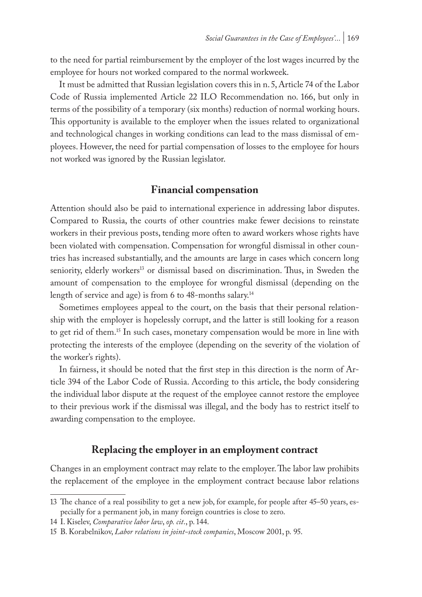to the need for partial reimbursement by the employer of the lost wages incurred by the employee for hours not worked compared to the normal workweek.

It must be admitted that Russian legislation covers this in n. 5, Article 74 of the Labor Code of Russia implemented Article 22 ILO Recommendation no. 166, but only in terms of the possibility of a temporary (six months) reduction of normal working hours. This opportunity is available to the employer when the issues related to organizational and technological changes in working conditions can lead to the mass dismissal of employees. However, the need for partial compensation of losses to the employee for hours not worked was ignored by the Russian legislator.

### **Financial compensation**

Attention should also be paid to international experience in addressing labor disputes. Compared to Russia, the courts of other countries make fewer decisions to reinstate workers in their previous posts, tending more often to award workers whose rights have been violated with compensation. Compensation for wrongful dismissal in other countries has increased substantially, and the amounts are large in cases which concern long seniority, elderly workers<sup>13</sup> or dismissal based on discrimination. Thus, in Sweden the amount of compensation to the employee for wrongful dismissal (depending on the length of service and age) is from 6 to 48-months salary.14

Sometimes employees appeal to the court, on the basis that their personal relationship with the employer is hopelessly corrupt, and the latter is still looking for a reason to get rid of them.<sup>15</sup> In such cases, monetary compensation would be more in line with protecting the interests of the employee (depending on the severity of the violation of the worker's rights).

In fairness, it should be noted that the first step in this direction is the norm of Article 394 of the Labor Code of Russia. According to this article, the body considering the individual labor dispute at the request of the employee cannot restore the employee to their previous work if the dismissal was illegal, and the body has to restrict itself to awarding compensation to the employee.

### **Replacing the employer in an employment contract**

Changes in an employment contract may relate to the employer. The labor law prohibits the replacement of the employee in the employment contract because labor relations

<sup>13</sup> The chance of a real possibility to get a new job, for example, for people after 45–50 years, especially for a permanent job, in many foreign countries is close to zero.

<sup>14</sup> I. Kiselev, *Comparative labor law*, *op. cit*., p. 144.

<sup>15</sup> B. Korabelnikov, *Labor relations in joint-stock companies*, Moscow 2001, p. 95.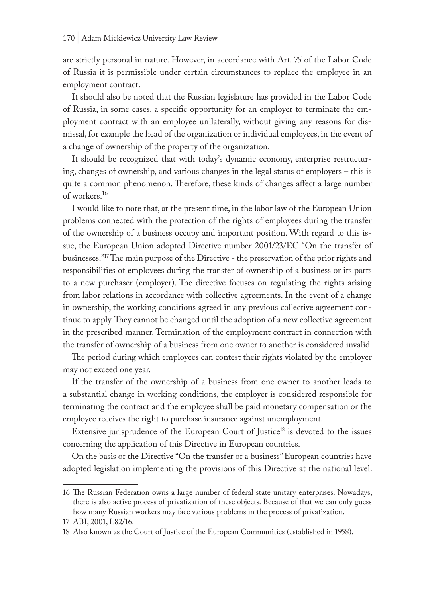are strictly personal in nature. However, in accordance with Art. 75 of the Labor Code of Russia it is permissible under certain circumstances to replace the employee in an employment contract.

It should also be noted that the Russian legislature has provided in the Labor Code of Russia, in some cases, a specific opportunity for an employer to terminate the employment contract with an employee unilaterally, without giving any reasons for dismissal, for example the head of the organization or individual employees, in the event of a change of ownership of the property of the organization.

It should be recognized that with today's dynamic economy, enterprise restructuring, changes of ownership, and various changes in the legal status of employers – this is quite a common phenomenon. Therefore, these kinds of changes affect a large number of workers.16

I would like to note that, at the present time, in the labor law of the European Union problems connected with the protection of the rights of employees during the transfer of the ownership of a business occupy and important position. With regard to this issue, the European Union adopted Directive number 2001/23/EC "On the transfer of businesses."17 The main purpose of the Directive - the preservation of the prior rights and responsibilities of employees during the transfer of ownership of a business or its parts to a new purchaser (employer). The directive focuses on regulating the rights arising from labor relations in accordance with collective agreements. In the event of a change in ownership, the working conditions agreed in any previous collective agreement continue to apply. They cannot be changed until the adoption of a new collective agreement in the prescribed manner. Termination of the employment contract in connection with the transfer of ownership of a business from one owner to another is considered invalid.

The period during which employees can contest their rights violated by the employer may not exceed one year.

If the transfer of the ownership of a business from one owner to another leads to a substantial change in working conditions, the employer is considered responsible for terminating the contract and the employee shall be paid monetary compensation or the employee receives the right to purchase insurance against unemployment.

Extensive jurisprudence of the European Court of Justice<sup>18</sup> is devoted to the issues concerning the application of this Directive in European countries.

On the basis of the Directive "On the transfer of a business" European countries have adopted legislation implementing the provisions of this Directive at the national level.

<sup>16</sup> The Russian Federation owns a large number of federal state unitary enterprises. Nowadays, there is also active process of privatization of these objects. Because of that we can only guess how many Russian workers may face various problems in the process of privatization.

<sup>17</sup> ABI, 2001, L82/16.

<sup>18</sup> Also known as the Court of Justice of the European Communities (established in 1958).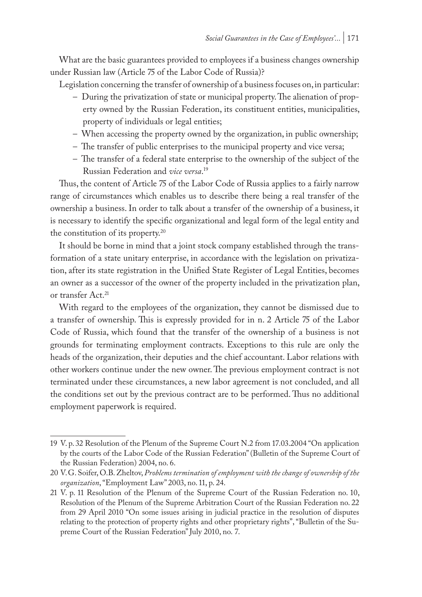What are the basic guarantees provided to employees if a business changes ownership under Russian law (Article 75 of the Labor Code of Russia)?

Legislation concerning the transfer of ownership of a business focuses on, in particular:

- During the privatization of state or municipal property. The alienation of property owned by the Russian Federation, its constituent entities, municipalities, property of individuals or legal entities;
- When accessing the property owned by the organization, in public ownership;
- The transfer of public enterprises to the municipal property and vice versa;
- The transfer of a federal state enterprise to the ownership of the subject of the Russian Federation and *vice versa*. 19

Thus, the content of Article 75 of the Labor Code of Russia applies to a fairly narrow range of circumstances which enables us to describe there being a real transfer of the ownership a business. In order to talk about a transfer of the ownership of a business, it is necessary to identify the specific organizational and legal form of the legal entity and the constitution of its property.20

It should be borne in mind that a joint stock company established through the transformation of a state unitary enterprise, in accordance with the legislation on privatization, after its state registration in the Unified State Register of Legal Entities, becomes an owner as a successor of the owner of the property included in the privatization plan, or transfer Act.<sup>21</sup>

With regard to the employees of the organization, they cannot be dismissed due to a transfer of ownership. This is expressly provided for in n. 2 Article 75 of the Labor Code of Russia, which found that the transfer of the ownership of a business is not grounds for terminating employment contracts. Exceptions to this rule are only the heads of the organization, their deputies and the chief accountant. Labor relations with other workers continue under the new owner. The previous employment contract is not terminated under these circumstances, a new labor agreement is not concluded, and all the conditions set out by the previous contract are to be performed. Thus no additional employment paperwork is required.

<sup>19</sup> V. p. 32 Resolution of the Plenum of the Supreme Court N.2 from 17.03.2004 "On application by the courts of the Labor Code of the Russian Federation" (Bulletin of the Supreme Court of the Russian Federation) 2004, no. 6.

<sup>20</sup> V.G. Soifer, O.B. Zheltov, *Problems termination of employment with the change of ownership of the organization*, "Employment Law" 2003, no. 11, p. 24.

<sup>21</sup> V. p. 11 Resolution of the Plenum of the Supreme Court of the Russian Federation no. 10, Resolution of the Plenum of the Supreme Arbitration Court of the Russian Federation no. 22 from 29 April 2010 "On some issues arising in judicial practice in the resolution of disputes relating to the protection of property rights and other proprietary rights", "Bulletin of the Supreme Court of the Russian Federation" July 2010, no. 7.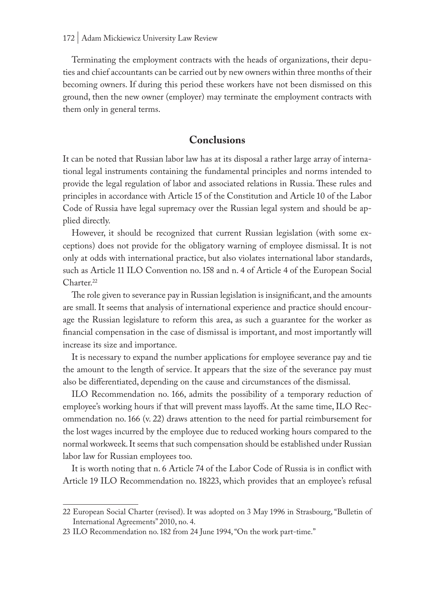Terminating the employment contracts with the heads of organizations, their deputies and chief accountants can be carried out by new owners within three months of their becoming owners. If during this period these workers have not been dismissed on this ground, then the new owner (employer) may terminate the employment contracts with them only in general terms.

### **Conclusions**

It can be noted that Russian labor law has at its disposal a rather large array of international legal instruments containing the fundamental principles and norms intended to provide the legal regulation of labor and associated relations in Russia. These rules and principles in accordance with Article 15 of the Constitution and Article 10 of the Labor Code of Russia have legal supremacy over the Russian legal system and should be applied directly.

However, it should be recognized that current Russian legislation (with some exceptions) does not provide for the obligatory warning of employee dismissal. It is not only at odds with international practice, but also violates international labor standards, such as Article 11 ILO Convention no. 158 and n. 4 of Article 4 of the European Social Charter<sup>22</sup>

The role given to severance pay in Russian legislation is insignificant, and the amounts are small. It seems that analysis of international experience and practice should encourage the Russian legislature to reform this area, as such a guarantee for the worker as financial compensation in the case of dismissal is important, and most importantly will increase its size and importance.

It is necessary to expand the number applications for employee severance pay and tie the amount to the length of service. It appears that the size of the severance pay must also be differentiated, depending on the cause and circumstances of the dismissal.

ILO Recommendation no. 166, admits the possibility of a temporary reduction of employee's working hours if that will prevent mass layoffs. At the same time, ILO Recommendation no. 166 (v. 22) draws attention to the need for partial reimbursement for the lost wages incurred by the employee due to reduced working hours compared to the normal workweek. It seems that such compensation should be established under Russian labor law for Russian employees too.

It is worth noting that n. 6 Article 74 of the Labor Code of Russia is in conflict with Article 19 ILO Recommendation no. 18223, which provides that an employee's refusal

<sup>22</sup> European Social Charter (revised). It was adopted on 3 May 1996 in Strasbourg, "Bulletin of International Agreements" 2010, no. 4.

<sup>23</sup> ILO Recommendation no. 182 from 24 June 1994, "On the work part-time."